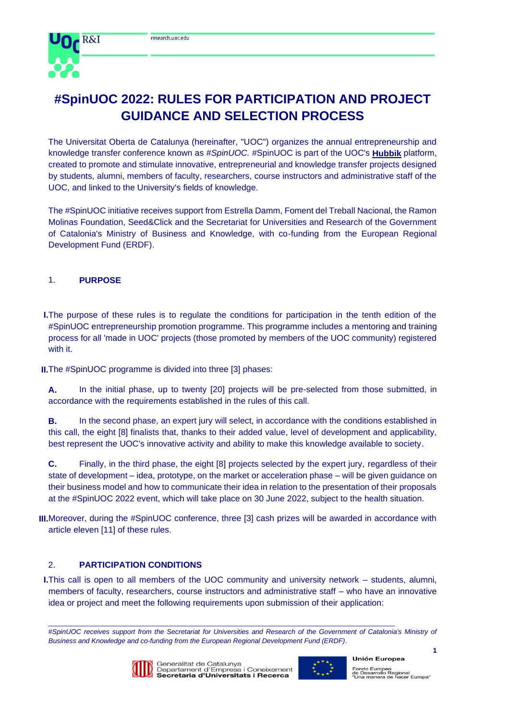

# **#SpinUOC 2022: RULES FOR PARTICIPATION AND PROJECT GUIDANCE AND SELECTION PROCESS**

The Universitat Oberta de Catalunya (hereinafter, "UOC") organizes the annual entrepreneurship and knowledge transfer conference known as *#SpinUOC.* #SpinUOC is part of the UOC's **[Hubbik](https://hubbik.uoc.edu/)** platform, created to promote and stimulate innovative, entrepreneurial and knowledge transfer projects designed by students, alumni, members of faculty, researchers, course instructors and administrative staff of the UOC, and linked to the University's fields of knowledge.

The #SpinUOC initiative receives support from Estrella Damm, Foment del Treball Nacional, the Ramon Molinas Foundation, Seed&Click and the Secretariat for Universities and Research of the Government of Catalonia's Ministry of Business and Knowledge, with co-funding from the European Regional Development Fund (ERDF).

# 1. **PURPOSE**

- **I.**The purpose of these rules is to regulate the conditions for participation in the tenth edition of the #SpinUOC entrepreneurship promotion programme. This programme includes a mentoring and training process for all 'made in UOC' projects (those promoted by members of the UOC community) registered with it.
- **II.**The #SpinUOC programme is divided into three [3] phases:

**A.** In the initial phase, up to twenty [20] projects will be pre-selected from those submitted, in accordance with the requirements established in the rules of this call.

**B.** In the second phase, an expert jury will select, in accordance with the conditions established in this call, the eight [8] finalists that, thanks to their added value, level of development and applicability, best represent the UOC's innovative activity and ability to make this knowledge available to society.

**C.** Finally, in the third phase, the eight [8] projects selected by the expert jury, regardless of their state of development *–* idea, prototype, on the market or acceleration phase *–* will be given guidance on their business model and how to communicate their idea in relation to the presentation of their proposals at the #SpinUOC 2022 event, which will take place on 30 June 2022, subject to the health situation.

**III.**Moreover, during the #SpinUOC conference, three [3] cash prizes will be awarded in accordance with article eleven [11] of these rules.

# 2. **PARTICIPATION CONDITIONS**

**I.**This call is open to all members of the UOC community and university network – students, alumni, members of faculty, researchers, course instructors and administrative staff – who have an innovative idea or project and meet the following requirements upon submission of their application:

#SpinUOC receives support from the Secretariat for Universities and Research of the Government of Catalonia's Ministry of *Business and Knowledge and co-funding from the European Regional Development Fund (ERDF)*.



 $\_$  , and the set of the set of the set of the set of the set of the set of the set of the set of the set of the set of the set of the set of the set of the set of the set of the set of the set of the set of the set of th



**1**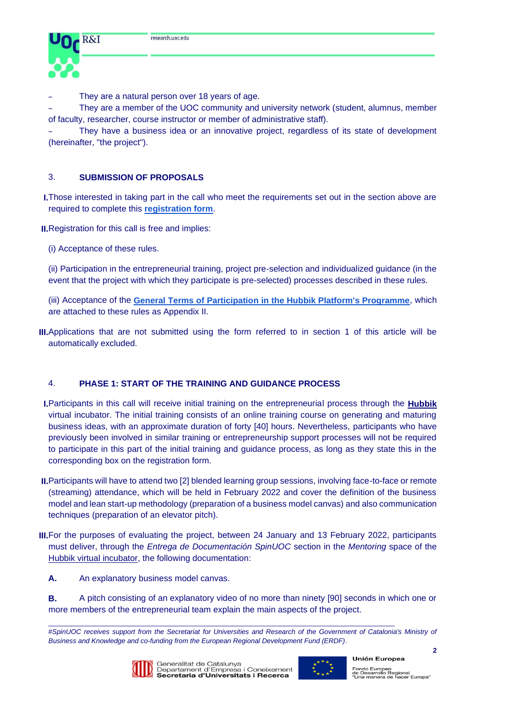

They are a natural person over 18 years of age.

They are a member of the UOC community and university network (student, alumnus, member of faculty, researcher, course instructor or member of administrative staff).

They have a business idea or an innovative project, regardless of its state of development (hereinafter, "the project").

# 3. **SUBMISSION OF PROPOSALS**

**I.**Those interested in taking part in the call who meet the requirements set out in the section above are required to complete this **[registration form](https://hubbik.uoc.edu/en/node/127)**.

**II.**Registration for this call is free and implies:

(i) Acceptance of these rules.

(ii) Participation in the entrepreneurial training, project pre-selection and individualized guidance (in the event that the project with which they participate is pre-selected) processes described in these rules.

(iii) Acceptance of the **[General Terms of Participation in the Hubbik Platform's Programme](https://hubbik.uoc.edu/sites/default/files/2020-11/BASES_PARTICIPACI%C3%93_HUBBIK_CA.pdf)**, which are attached to these rules as Appendix II.

**III.**Applications that are not submitted using the form referred to in section 1 of this article will be automatically excluded.

# 4. **PHASE 1: START OF THE TRAINING AND GUIDANCE PROCESS**

- **I.**Participants in this call will receive initial training on the entrepreneurial process through the **[Hubbik](https://hubbik.uoc.edu/)** virtual incubator. The initial training consists of an online training course on generating and maturing business ideas, with an approximate duration of forty [40] hours. Nevertheless, participants who have previously been involved in similar training or entrepreneurship support processes will not be required to participate in this part of the initial training and guidance process, as long as they state this in the corresponding box on the registration form.
- **II.**Participants will have to attend two [2] blended learning group sessions, involving face-to-face or remote (streaming) attendance, which will be held in February 2022 and cover the definition of the business model and lean start-up methodology (preparation of a business model canvas) and also communication techniques (preparation of an elevator pitch).
- **III.**For the purposes of evaluating the project, between 24 January and 13 February 2022, participants must deliver, through the *Entrega de Documentación SpinUOC* section in the *Mentoring* space of the [Hubbik virtual incubator,](https://incubadora.hubbik.uoc.edu/login/index.php) the following documentation:
	- **A.** An explanatory business model canvas.

**B.** A pitch consisting of an explanatory video of no more than ninety [90] seconds in which one or more members of the entrepreneurial team explain the main aspects of the project.

<sup>#</sup>SpinUOC receives support from the Secretariat for Universities and Research of the Government of Catalonia's Ministry of *Business and Knowledge and co-funding from the European Regional Development Fund (ERDF)*.



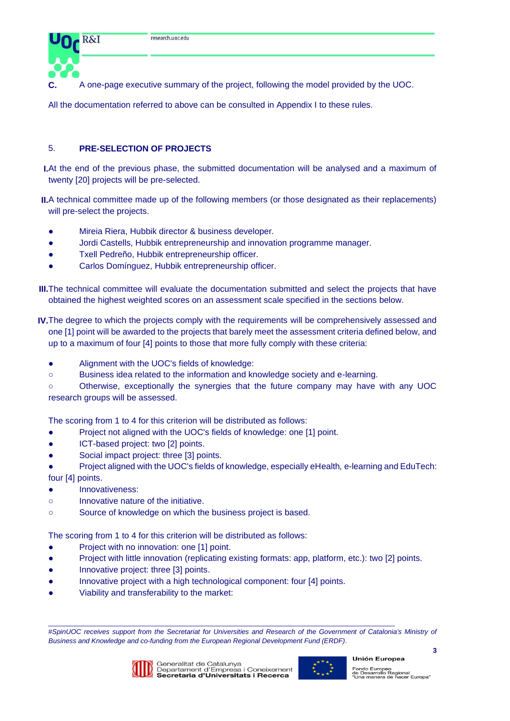

**C.** A one-page executive summary of the project, following the model provided by the UOC.

All the documentation referred to above can be consulted in Appendix I to these rules.

# 5. **PRE-SELECTION OF PROJECTS**

**I.**At the end of the previous phase, the submitted documentation will be analysed and a maximum of twenty [20] projects will be pre-selected.

**II.**A technical committee made up of the following members (or those designated as their replacements) will pre-select the projects.

- Mireia Riera, Hubbik director & business developer.
- Jordi Castells, Hubbik entrepreneurship and innovation programme manager.
- Txell Pedreño, Hubbik entrepreneurship officer.
- Carlos Domínguez, Hubbik entrepreneurship officer.

**III.**The technical committee will evaluate the documentation submitted and select the projects that have obtained the highest weighted scores on an assessment scale specified in the sections below.

- **IV.**The degree to which the projects comply with the requirements will be comprehensively assessed and one [1] point will be awarded to the projects that barely meet the assessment criteria defined below, and up to a maximum of four [4] points to those that more fully comply with these criteria:
	- Alignment with the UOC's fields of knowledge:
	- Business idea related to the information and knowledge society and e-learning.

○ Otherwise, exceptionally the synergies that the future company may have with any UOC research groups will be assessed.

The scoring from 1 to 4 for this criterion will be distributed as follows:

- Project not aligned with the UOC's fields of knowledge: one [1] point.
- ICT-based project: two [2] points.
- Social impact project: three [3] points.
- Project aligned with the UOC's fields of knowledge, especially eHealth*,* e-learning and EduTech: four [4] points.
- Innovativeness:
- Innovative nature of the initiative.
- Source of knowledge on which the business project is based.

The scoring from 1 to 4 for this criterion will be distributed as follows:

- Project with no innovation: one [1] point.
- Project with little innovation (replicating existing formats: app, platform, etc.): two [2] points.
- Innovative project: three [3] points.
- Innovative project with a high technological component: four [4] points.
- Viability and transferability to the market:

#SpinUOC receives support from the Secretariat for Universities and Research of the Government of Catalonia's Ministry of *Business and Knowledge and co-funding from the European Regional Development Fund (ERDF)*.



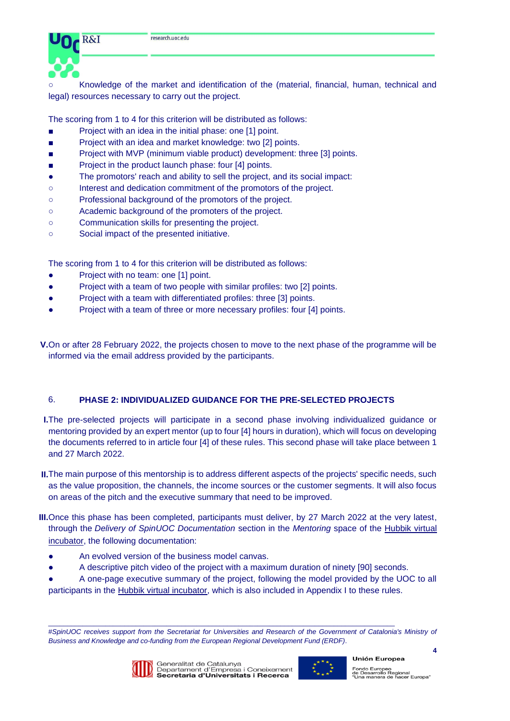

Knowledge of the market and identification of the (material, financial, human, technical and legal) resources necessary to carry out the project.

The scoring from 1 to 4 for this criterion will be distributed as follows:

- Project with an idea in the initial phase: one [1] point.
- Project with an idea and market knowledge: two [2] points.
- Project with MVP (minimum viable product) development: three [3] points.
- Project in the product launch phase: four [4] points.
- The promotors' reach and ability to sell the project, and its social impact:
- Interest and dedication commitment of the promotors of the project.
- Professional background of the promotors of the project.
- Academic background of the promoters of the project.
- Communication skills for presenting the project.
- Social impact of the presented initiative.

The scoring from 1 to 4 for this criterion will be distributed as follows:

- Project with no team: one [1] point.
- Project with a team of two people with similar profiles: two [2] points.
- Project with a team with differentiated profiles: three [3] points.
- Project with a team of three or more necessary profiles: four [4] points.

**V.**On or after 28 February 2022, the projects chosen to move to the next phase of the programme will be informed via the email address provided by the participants.

# 6. **PHASE 2: INDIVIDUALIZED GUIDANCE FOR THE PRE-SELECTED PROJECTS**

**I.**The pre-selected projects will participate in a second phase involving individualized guidance or mentoring provided by an expert mentor (up to four [4] hours in duration), which will focus on developing the documents referred to in article four [4] of these rules. This second phase will take place between 1 and 27 March 2022.

- **II.**The main purpose of this mentorship is to address different aspects of the projects' specific needs, such as the value proposition, the channels, the income sources or the customer segments. It will also focus on areas of the pitch and the executive summary that need to be improved.
- **III.**Once this phase has been completed, participants must deliver, by 27 March 2022 at the very latest, through the *Delivery of SpinUOC Documentation* section in the *Mentoring* space of the [Hubbik virtual](https://incubadora.hubbik.uoc.edu/login/index.php)  [incubator,](https://incubadora.hubbik.uoc.edu/login/index.php) the following documentation:
	- An evolved version of the business model canvas.
	- A descriptive pitch video of the project with a maximum duration of ninety [90] seconds.
	- A one-page executive summary of the project, following the model provided by the UOC to all participants in the [Hubbik virtual incubator,](https://incubadora.hubbik.uoc.edu/login/index.php) which is also included in Appendix I to these rules.

#SpinUOC receives support from the Secretariat for Universities and Research of the Government of Catalonia's Ministry of *Business and Knowledge and co-funding from the European Regional Development Fund (ERDF)*.



 $\_$  , and the set of the set of the set of the set of the set of the set of the set of the set of the set of the set of the set of the set of the set of the set of the set of the set of the set of the set of the set of th



**4**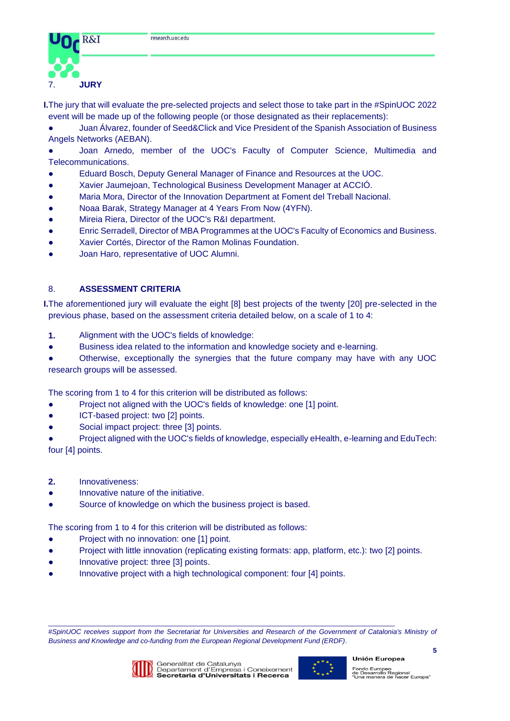

**I.**The jury that will evaluate the pre-selected projects and select those to take part in the #SpinUOC 2022 event will be made up of the following people (or those designated as their replacements):

Juan Álvarez, founder of Seed&Click and Vice President of the Spanish Association of Business Angels Networks (AEBAN).

● Joan Arnedo, member of the UOC's Faculty of Computer Science, Multimedia and Telecommunications.

- Eduard Bosch, Deputy General Manager of Finance and Resources at the UOC.
- Xavier Jaumejoan, Technological Business Development Manager at ACCIÓ.
- Maria Mora, Director of the Innovation Department at Foment del Treball Nacional.
- Noaa Barak, Strategy Manager at 4 Years From Now (4YFN).
- Mireia Riera, Director of the UOC's R&I department.
- Enric Serradell, Director of MBA Programmes at the UOC's Faculty of Economics and Business.
- Xavier Cortés, Director of the Ramon Molinas Foundation.
- Joan Haro, representative of UOC Alumni.

# 8. **ASSESSMENT CRITERIA**

**I.**The aforementioned jury will evaluate the eight [8] best projects of the twenty [20] pre-selected in the previous phase, based on the assessment criteria detailed below, on a scale of 1 to 4:

- **1.** Alignment with the UOC's fields of knowledge:
- Business idea related to the information and knowledge society and e-learning.

Otherwise, exceptionally the synergies that the future company may have with any UOC research groups will be assessed.

The scoring from 1 to 4 for this criterion will be distributed as follows:

- Project not aligned with the UOC's fields of knowledge: one [1] point.
- ICT-based project: two [2] points.
- Social impact project: three [3] points.

● Project aligned with the UOC's fields of knowledge, especially eHealth, e-learning and EduTech: four [4] points.

- **2.** Innovativeness:
- Innovative nature of the initiative.
- Source of knowledge on which the business project is based.

The scoring from 1 to 4 for this criterion will be distributed as follows:

- Project with no innovation: one [1] point.
- Project with little innovation (replicating existing formats: app, platform, etc.): two [2] points.
- Innovative project: three [3] points.
- Innovative project with a high technological component: four [4] points.

#SpinUOC receives support from the Secretariat for Universities and Research of the Government of Catalonia's Ministry of *Business and Knowledge and co-funding from the European Regional Development Fund (ERDF)*.



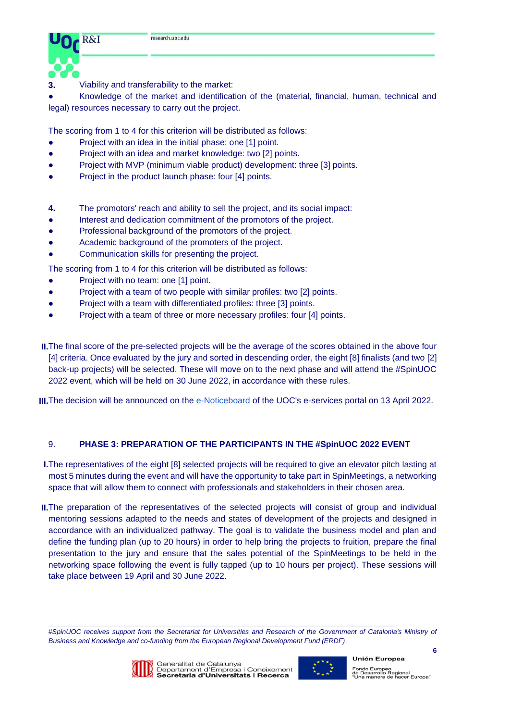

**3.** Viability and transferability to the market:

Knowledge of the market and identification of the (material, financial, human, technical and legal) resources necessary to carry out the project.

The scoring from 1 to 4 for this criterion will be distributed as follows:

- Project with an idea in the initial phase: one [1] point.
- Project with an idea and market knowledge: two [2] points.
- Project with MVP (minimum viable product) development: three [3] points.
- Project in the product launch phase: four [4] points.
- **4.** The promotors' reach and ability to sell the project, and its social impact:
- Interest and dedication commitment of the promotors of the project.
- Professional background of the promotors of the project.
- Academic background of the promoters of the project.
- Communication skills for presenting the project.
- The scoring from 1 to 4 for this criterion will be distributed as follows:
- Project with no team: one [1] point.
- Project with a team of two people with similar profiles: two [2] points.
- Project with a team with differentiated profiles: three [3] points.
- Project with a team of three or more necessary profiles: four [4] points.

**II.**The final score of the pre-selected projects will be the average of the scores obtained in the above four [4] criteria. Once evaluated by the jury and sorted in descending order, the eight [8] finalists (and two [2] back-up projects) will be selected. These will move on to the next phase and will attend the #SpinUOC 2022 event, which will be held on 30 June 2022, in accordance with these rules.

**III.** The decision will be announced on the [e-Noticeboard](https://seu-electronica.uoc.edu/portal/ca/seu-electronica/tramits-serveis/tauler-anuncis/index.html) of the UOC's e-services portal on 13 April 2022.

# 9. **PHASE 3: PREPARATION OF THE PARTICIPANTS IN THE #SpinUOC 2022 EVENT**

**I.**The representatives of the eight [8] selected projects will be required to give an elevator pitch lasting at most 5 minutes during the event and will have the opportunity to take part in SpinMeetings, a networking space that will allow them to connect with professionals and stakeholders in their chosen area.

**II.**The preparation of the representatives of the selected projects will consist of group and individual mentoring sessions adapted to the needs and states of development of the projects and designed in accordance with an individualized pathway. The goal is to validate the business model and plan and define the funding plan (up to 20 hours) in order to help bring the projects to fruition, prepare the final presentation to the jury and ensure that the sales potential of the SpinMeetings to be held in the networking space following the event is fully tapped (up to 10 hours per project). These sessions will take place between 19 April and 30 June 2022.

#SpinUOC receives support from the Secretariat for Universities and Research of the Government of Catalonia's Ministry of *Business and Knowledge and co-funding from the European Regional Development Fund (ERDF)*.



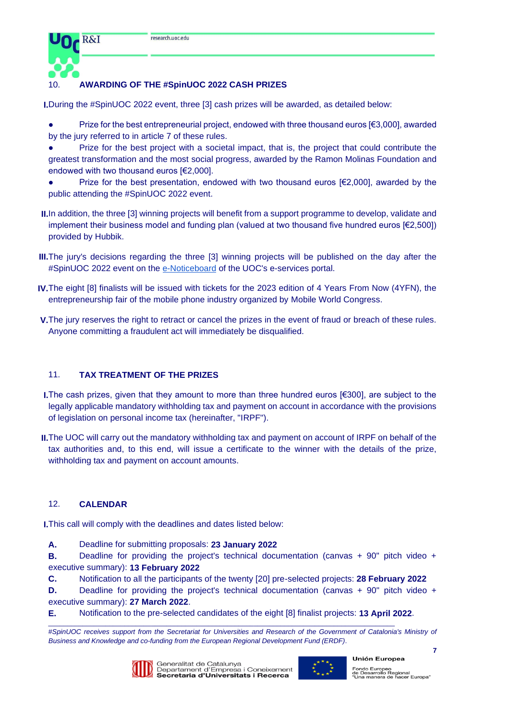

# 10. **AWARDING OF THE #SpinUOC 2022 CASH PRIZES**

**I.**During the #SpinUOC 2022 event, three [3] cash prizes will be awarded, as detailed below:

- Prize for the best entrepreneurial project, endowed with three thousand euros  $[63,000]$ , awarded by the jury referred to in article 7 of these rules.
- Prize for the best project with a societal impact, that is, the project that could contribute the greatest transformation and the most social progress, awarded by the Ramon Molinas Foundation and endowed with two thousand euros [€2,000].
- Prize for the best presentation, endowed with two thousand euros  $[62,000]$ , awarded by the public attending the #SpinUOC 2022 event.
- **II.**In addition, the three [3] winning projects will benefit from a support programme to develop, validate and implement their business model and funding plan (valued at two thousand five hundred euros [€2,500]) provided by Hubbik.
- **III.**The jury's decisions regarding the three [3] winning projects will be published on the day after the #SpinUOC 2022 event on the [e-Noticeboard](https://seu-electronica.uoc.edu/portal/ca/seu-electronica/tramits-serveis/tauler-anuncis/index.html) of the UOC's e-services portal.
- **IV.**The eight [8] finalists will be issued with tickets for the 2023 edition of 4 Years From Now (4YFN), the entrepreneurship fair of the mobile phone industry organized by [Mobile World Congress.](http://mobileworldcapital.com/es/pagina/49)
- **V.**The jury reserves the right to retract or cancel the prizes in the event of fraud or breach of these rules. Anyone committing a fraudulent act will immediately be disqualified.

# 11. **TAX TREATMENT OF THE PRIZES**

- **I.**The cash prizes, given that they amount to more than three hundred euros [€300], are subject to the legally applicable mandatory withholding tax and payment on account in accordance with the provisions of legislation on personal income tax (hereinafter, "IRPF").
- **II.**The UOC will carry out the mandatory withholding tax and payment on account of IRPF on behalf of the tax authorities and, to this end, will issue a certificate to the winner with the details of the prize, withholding tax and payment on account amounts.

# 12. **CALENDAR**

**I.**This call will comply with the deadlines and dates listed below:

**A.** Deadline for submitting proposals: **23 January 2022**

**B.** Deadline for providing the project's technical documentation (canvas + 90" pitch video + executive summary): **13 February 2022**

**C.** Notification to all the participants of the twenty [20] pre-selected projects: **28 February 2022** 

**D.** Deadline for providing the project's technical documentation (canvas + 90" pitch video + executive summary): **27 March 2022**.

**E.** Notification to the pre-selected candidates of the eight [8] finalist projects: **13 April 2022**.

#SpinUOC receives support from the Secretariat for Universities and Research of the Government of Catalonia's Ministry of *Business and Knowledge and co-funding from the European Regional Development Fund (ERDF)*.



Generalitat de Catalunya<br>Departament d'Empresa i Coneixement<br>**Secretaria d'Universitats i Recerca** 

 $\_$  , and the set of the set of the set of the set of the set of the set of the set of the set of the set of the set of the set of the set of the set of the set of the set of the set of the set of the set of the set of th



**Unión Europea** Fondo Europeo<br>de Desarrollo Regional<br>"Una manera de hacer Europa"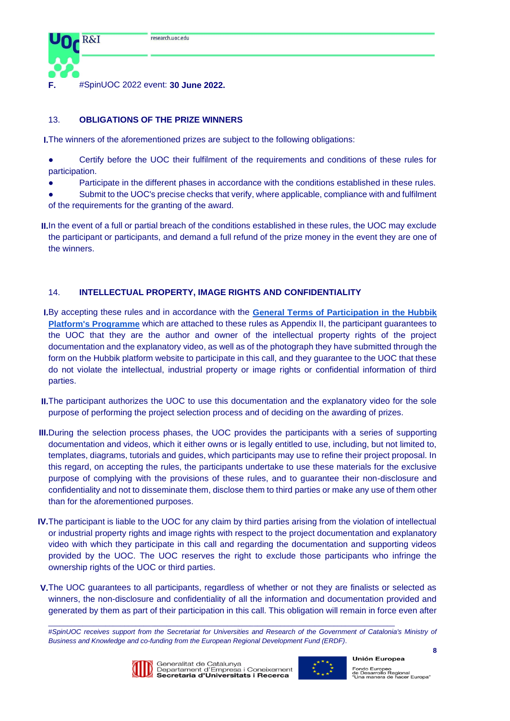

**F.** #SpinUOC 2022 event: **30 June 2022.** 

# 13. **OBLIGATIONS OF THE PRIZE WINNERS**

**I.**The winners of the aforementioned prizes are subject to the following obligations:

- Certify before the UOC their fulfilment of the requirements and conditions of these rules for participation.
- Participate in the different phases in accordance with the conditions established in these rules.
- Submit to the UOC's precise checks that verify, where applicable, compliance with and fulfilment of the requirements for the granting of the award.
- **II.**In the event of a full or partial breach of the conditions established in these rules, the UOC may exclude the participant or participants, and demand a full refund of the prize money in the event they are one of the winners.

# 14. **INTELLECTUAL PROPERTY, IMAGE RIGHTS AND CONFIDENTIALITY**

- **I.**By accepting these rules and in accordance with the **[General Terms of Participation in the Hubbik](https://hubbik.uoc.edu/sites/default/files/2020-11/BASES_PARTICIPACI%C3%93_HUBBIK_CA.pdf)  [Platform's Programme](https://hubbik.uoc.edu/sites/default/files/2020-11/BASES_PARTICIPACI%C3%93_HUBBIK_CA.pdf)** which are attached to these rules as Appendix II, the participant guarantees to the UOC that they are the author and owner of the intellectual property rights of the project documentation and the explanatory video, as well as of the photograph they have submitted through the form on the Hubbik platform website to participate in this call, and they guarantee to the UOC that these do not violate the intellectual, industrial property or image rights or confidential information of third parties.
- **II.** The participant authorizes the UOC to use this documentation and the explanatory video for the sole purpose of performing the project selection process and of deciding on the awarding of prizes.
- **III.**During the selection process phases, the UOC provides the participants with a series of supporting documentation and videos, which it either owns or is legally entitled to use, including, but not limited to, templates, diagrams, tutorials and guides, which participants may use to refine their project proposal. In this regard, on accepting the rules, the participants undertake to use these materials for the exclusive purpose of complying with the provisions of these rules, and to guarantee their non-disclosure and confidentiality and not to disseminate them, disclose them to third parties or make any use of them other than for the aforementioned purposes.
- **IV.**The participant is liable to the UOC for any claim by third parties arising from the violation of intellectual or industrial property rights and image rights with respect to the project documentation and explanatory video with which they participate in this call and regarding the documentation and supporting videos provided by the UOC. The UOC reserves the right to exclude those participants who infringe the ownership rights of the UOC or third parties.
- **V.**The UOC guarantees to all participants, regardless of whether or not they are finalists or selected as winners, the non-disclosure and confidentiality of all the information and documentation provided and generated by them as part of their participation in this call. This obligation will remain in force even after

<sup>#</sup>SpinUOC receives support from the Secretariat for Universities and Research of the Government of Catalonia's Ministry of *Business and Knowledge and co-funding from the European Regional Development Fund (ERDF)*.



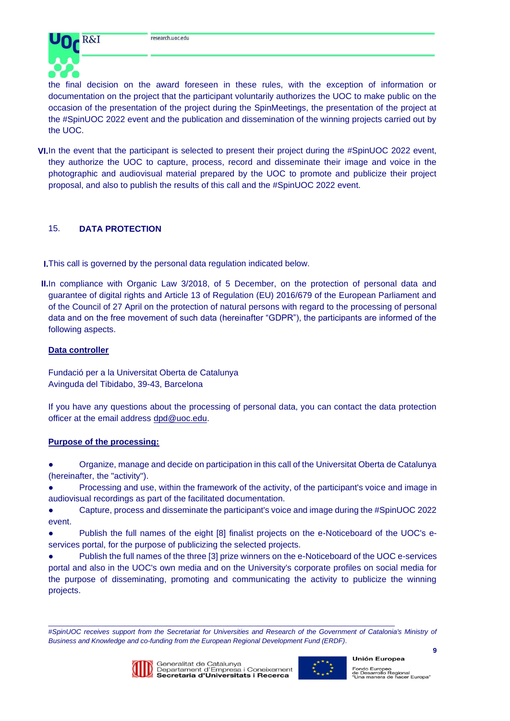

the final decision on the award foreseen in these rules, with the exception of information or documentation on the project that the participant voluntarily authorizes the UOC to make public on the occasion of the presentation of the project during the SpinMeetings, the presentation of the project at the #SpinUOC 2022 event and the publication and dissemination of the winning projects carried out by the UOC.

**VI.** In the event that the participant is selected to present their project during the #SpinUOC 2022 event, they authorize the UOC to capture, process, record and disseminate their image and voice in the photographic and audiovisual material prepared by the UOC to promote and publicize their project proposal, and also to publish the results of this call and the #SpinUOC 2022 event.

# 15. **DATA PROTECTION**

**I.**This call is governed by the personal data regulation indicated below.

**II.**In compliance with Organic Law 3/2018, of 5 December, on the protection of personal data and guarantee of digital rights and Article 13 of Regulation (EU) 2016/679 of the European Parliament and of the Council of 27 April on the protection of natural persons with regard to the processing of personal data and on the free movement of such data (hereinafter "GDPR"), the participants are informed of the following aspects.

### **Data controller**

Fundació per a la Universitat Oberta de Catalunya Avinguda del Tibidabo, 39-43, Barcelona

If you have any questions about the processing of personal data, you can contact the data protection officer at the email address [dpd@uoc.edu.](mailto:dpd@uoc.edu)

# **Purpose of the processing:**

Organize, manage and decide on participation in this call of the Universitat Oberta de Catalunya (hereinafter, the "activity").

Processing and use, within the framework of the activity, of the participant's voice and image in audiovisual recordings as part of the facilitated documentation.

● Capture, process and disseminate the participant's voice and image during the #SpinUOC 2022 event.

Publish the full names of the eight [8] finalist projects on the e-Noticeboard of the UOC's eservices portal, for the purpose of publicizing the selected projects.

Publish the full names of the three [3] prize winners on the e-Noticeboard of the UOC e-services portal and also in the UOC's own media and on the University's corporate profiles on social media for the purpose of disseminating, promoting and communicating the activity to publicize the winning projects.

#SpinUOC receives support from the Secretariat for Universities and Research of the Government of Catalonia's Ministry of *Business and Knowledge and co-funding from the European Regional Development Fund (ERDF)*.



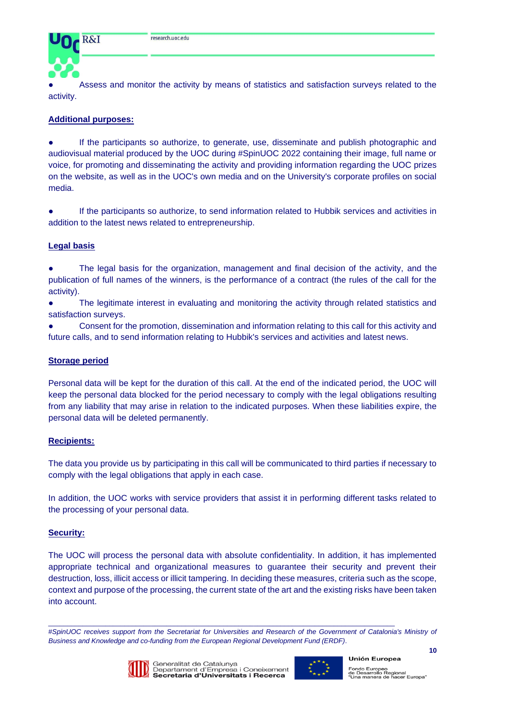

Assess and monitor the activity by means of statistics and satisfaction surveys related to the activity.

### **Additional purposes:**

● If the participants so authorize, to generate, use, disseminate and publish photographic and audiovisual material produced by the UOC during #SpinUOC 2022 containing their image, full name or voice, for promoting and disseminating the activity and providing information regarding the UOC prizes on the website, as well as in the UOC's own media and on the University's corporate profiles on social media.

If the participants so authorize, to send information related to Hubbik services and activities in addition to the latest news related to entrepreneurship.

#### **Legal basis**

The legal basis for the organization, management and final decision of the activity, and the publication of full names of the winners, is the performance of a contract (the rules of the call for the activity).

• The legitimate interest in evaluating and monitoring the activity through related statistics and satisfaction surveys.

Consent for the promotion, dissemination and information relating to this call for this activity and future calls, and to send information relating to Hubbik's services and activities and latest news.

#### **Storage period**

Personal data will be kept for the duration of this call. At the end of the indicated period, the UOC will keep the personal data blocked for the period necessary to comply with the legal obligations resulting from any liability that may arise in relation to the indicated purposes. When these liabilities expire, the personal data will be deleted permanently.

#### **Recipients:**

The data you provide us by participating in this call will be communicated to third parties if necessary to comply with the legal obligations that apply in each case.

In addition, the UOC works with service providers that assist it in performing different tasks related to the processing of your personal data.

#### **Security:**

The UOC will process the personal data with absolute confidentiality. In addition, it has implemented appropriate technical and organizational measures to guarantee their security and prevent their destruction, loss, illicit access or illicit tampering. In deciding these measures, criteria such as the scope, context and purpose of the processing, the current state of the art and the existing risks have been taken into account.

#SpinUOC receives support from the Secretariat for Universities and Research of the Government of Catalonia's Ministry of *Business and Knowledge and co-funding from the European Regional Development Fund (ERDF)*.



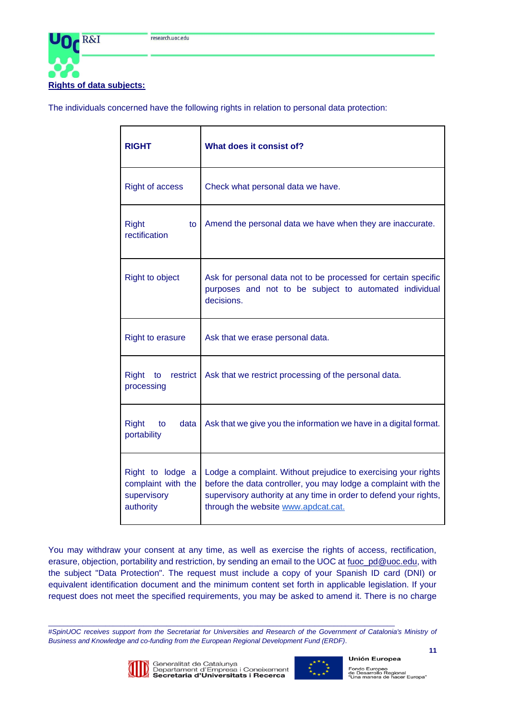

The individuals concerned have the following rights in relation to personal data protection:

| <b>RIGHT</b>                                                       | What does it consist of?                                                                                                                                                                                                                     |  |  |
|--------------------------------------------------------------------|----------------------------------------------------------------------------------------------------------------------------------------------------------------------------------------------------------------------------------------------|--|--|
| <b>Right of access</b>                                             | Check what personal data we have.                                                                                                                                                                                                            |  |  |
| <b>Right</b><br>to<br>rectification                                | Amend the personal data we have when they are inaccurate.                                                                                                                                                                                    |  |  |
| <b>Right to object</b>                                             | Ask for personal data not to be processed for certain specific<br>purposes and not to be subject to automated individual<br>decisions.                                                                                                       |  |  |
| <b>Right to erasure</b>                                            | Ask that we erase personal data.                                                                                                                                                                                                             |  |  |
| Right<br>restrict<br>to<br>processing                              | Ask that we restrict processing of the personal data.                                                                                                                                                                                        |  |  |
| <b>Right</b><br>to<br>data<br>portability                          | Ask that we give you the information we have in a digital format.                                                                                                                                                                            |  |  |
| Right to lodge a<br>complaint with the<br>supervisory<br>authority | Lodge a complaint. Without prejudice to exercising your rights<br>before the data controller, you may lodge a complaint with the<br>supervisory authority at any time in order to defend your rights,<br>through the website www.apdcat.cat. |  |  |

You may withdraw your consent at any time, as well as exercise the rights of access, rectification, erasure, objection, portability and restriction, by sending an email to the UOC at [fuoc\\_pd@uoc.edu,](mailto:fuoc_pd@uoc.edu) with the subject "Data Protection". The request must include a copy of your Spanish ID card (DNI) or equivalent identification document and the minimum content set forth in applicable legislation. If your request does not meet the specified requirements, you may be asked to amend it. There is no charge

#SpinUOC receives support from the Secretariat for Universities and Research of the Government of Catalonia's Ministry of *Business and Knowledge and co-funding from the European Regional Development Fund (ERDF)*.



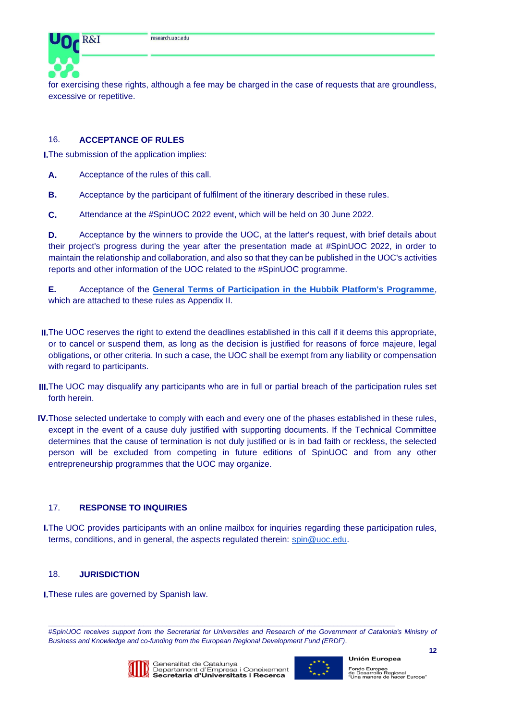

for exercising these rights, although a fee may be charged in the case of requests that are groundless, excessive or repetitive.

# 16. **ACCEPTANCE OF RULES**

**I.**The submission of the application implies:

- **A.** Acceptance of the rules of this call.
- **B.** Acceptance by the participant of fulfilment of the itinerary described in these rules.
- **C.** Attendance at the #SpinUOC 2022 event, which will be held on 30 June 2022.

**D.** Acceptance by the winners to provide the UOC, at the latter's request, with brief details about their project's progress during the year after the presentation made at #SpinUOC 2022, in order to maintain the relationship and collaboration, and also so that they can be published in the UOC's activities reports and other information of the UOC related to the #SpinUOC programme.

**E.** Acceptance of the **[General Terms of Participation in the Hubbik Platform's Programme](https://hubbik.uoc.edu/sites/default/files/2020-11/BASES_PARTICIPACI%C3%93_HUBBIK_CA.pdf)**, which are attached to these rules as Appendix II.

- **II.**The UOC reserves the right to extend the deadlines established in this call if it deems this appropriate, or to cancel or suspend them, as long as the decision is justified for reasons of force majeure, legal obligations, or other criteria. In such a case, the UOC shall be exempt from any liability or compensation with regard to participants.
- **III.**The UOC may disqualify any participants who are in full or partial breach of the participation rules set forth herein.
- **IV.**Those selected undertake to comply with each and every one of the phases established in these rules, except in the event of a cause duly justified with supporting documents. If the Technical Committee determines that the cause of termination is not duly justified or is in bad faith or reckless, the selected person will be excluded from competing in future editions of SpinUOC and from any other entrepreneurship programmes that the UOC may organize.

# 17. **RESPONSE TO INQUIRIES**

**I.**The UOC provides participants with an online mailbox for inquiries regarding these participation rules, terms, conditions, and in general, the aspects regulated therein: [spin@uoc.edu.](mailto:spin@uoc.edu)

#### 18. **JURISDICTION**

**I.**These rules are governed by Spanish law.

#SpinUOC receives support from the Secretariat for Universities and Research of the Government of Catalonia's Ministry of *Business and Knowledge and co-funding from the European Regional Development Fund (ERDF)*.



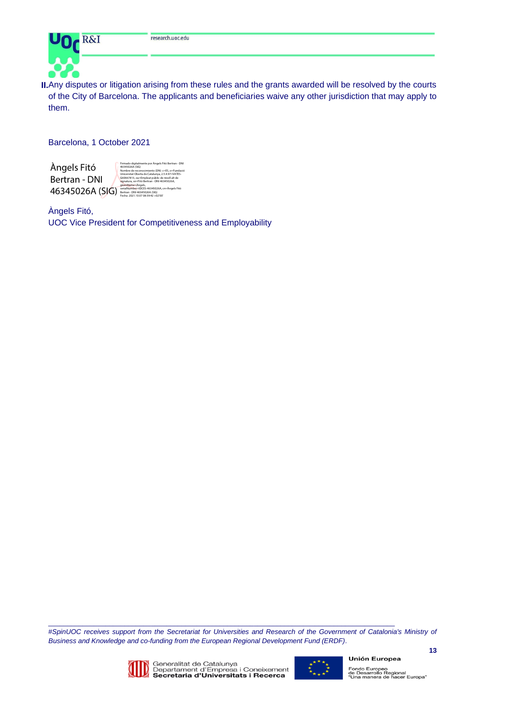

**II.**Any disputes or litigation arising from these rules and the grants awarded will be resolved by the courts of the City of Barcelona. The applicants and beneficiaries waive any other jurisdiction that may apply to them.

Barcelona, 1 October 2021

Àngels Fitó Bertran - DNI

 $46345026A$  (SIG)  $\frac{\text{SeralNumber=IDCE5-46345026A, cn=Ångels FItó}}{\text{Fecha: } 2021.10.07 08:39:42 + 0200}}$ Firmado digitalmente por Angels Fitó Bertran - DNI<br>46345026A (SIG)<br>Nombre de reconocimiento (DN): c=ES, o=Fundació<br>Universitat Oberta de Catalunya, 2.5.4.97=NATES-<br>G60667813, ou=Empleat públic de nivell alt de<br>Signatura, s

Àngels Fitó, UOC Vice President for Competitiveness and Employability

#SpinUOC receives support from the Secretariat for Universities and Research of the Government of Catalonia's Ministry of *Business and Knowledge and co-funding from the European Regional Development Fund (ERDF)*.



 $\_$  , and the set of the set of the set of the set of the set of the set of the set of the set of the set of the set of the set of the set of the set of the set of the set of the set of the set of the set of the set of th



**13**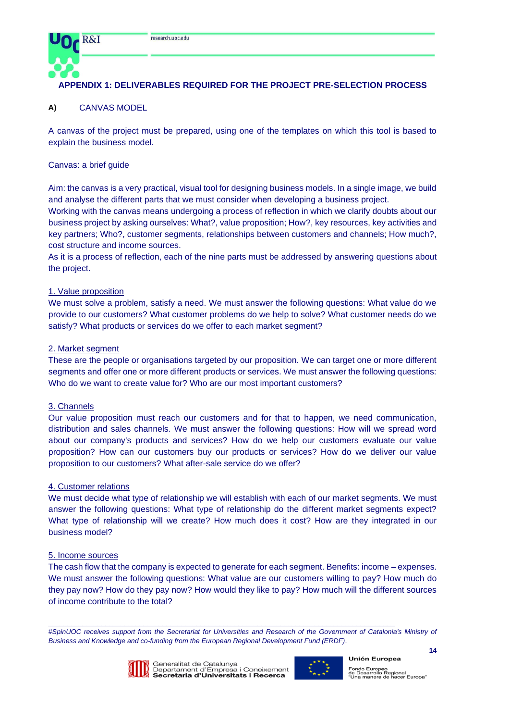

# **APPENDIX 1: DELIVERABLES REQUIRED FOR THE PROJECT PRE-SELECTION PROCESS**

# **A)** CANVAS MODEL

A canvas of the project must be prepared, using one of the templates on which this tool is based to explain the business model.

#### Canvas: a brief guide

Aim: the canvas is a very practical, visual tool for designing business models. In a single image, we build and analyse the different parts that we must consider when developing a business project.

Working with the canvas means undergoing a process of reflection in which we clarify doubts about our business project by asking ourselves: What?, value proposition; How?, key resources, key activities and key partners; Who?, customer segments, relationships between customers and channels; How much?, cost structure and income sources.

As it is a process of reflection, each of the nine parts must be addressed by answering questions about the project.

#### 1. Value proposition

We must solve a problem, satisfy a need. We must answer the following questions: What value do we provide to our customers? What customer problems do we help to solve? What customer needs do we satisfy? What products or services do we offer to each market segment?

#### 2. Market segment

These are the people or organisations targeted by our proposition. We can target one or more different segments and offer one or more different products or services. We must answer the following questions: Who do we want to create value for? Who are our most important customers?

#### 3. Channels

Our value proposition must reach our customers and for that to happen, we need communication, distribution and sales channels. We must answer the following questions: How will we spread word about our company's products and services? How do we help our customers evaluate our value proposition? How can our customers buy our products or services? How do we deliver our value proposition to our customers? What after-sale service do we offer?

### 4. Customer relations

We must decide what type of relationship we will establish with each of our market segments. We must answer the following questions: What type of relationship do the different market segments expect? What type of relationship will we create? How much does it cost? How are they integrated in our business model?

#### 5. Income sources

The cash flow that the company is expected to generate for each segment. Benefits: income – expenses. We must answer the following questions: What value are our customers willing to pay? How much do they pay now? How do they pay now? How would they like to pay? How much will the different sources of income contribute to the total?

#SpinUOC receives support from the Secretariat for Universities and Research of the Government of Catalonia's Ministry of *Business and Knowledge and co-funding from the European Regional Development Fund (ERDF)*.



Generalitat de Catalunya<br>Departament d'Empresa i Coneixement<br>**Secretaria d'Universitats i Recerca** 

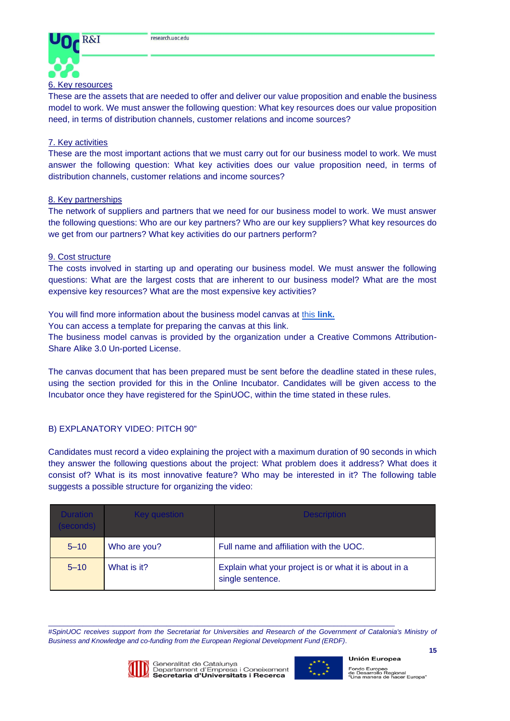

These are the assets that are needed to offer and deliver our value proposition and enable the business model to work. We must answer the following question: What key resources does our value proposition need, in terms of distribution channels, customer relations and income sources?

### 7. Key activities

These are the most important actions that we must carry out for our business model to work. We must answer the following question: What key activities does our value proposition need, in terms of distribution channels, customer relations and income sources?

#### 8. Key partnerships

The network of suppliers and partners that we need for our business model to work. We must answer the following questions: Who are our key partners? Who are our key suppliers? What key resources do we get from our partners? What key activities do our partners perform?

### 9. Cost structure

The costs involved in starting up and operating our business model. We must answer the following questions: What are the largest costs that are inherent to our business model? What are the most expensive key resources? What are the most expensive key activities?

You will find more information about the business model canvas at [this](https://youtu.be/QoAOzMTLP5s) **[link.](https://youtu.be/QoAOzMTLP5s)**

You can access a template for preparing the canvas at this [link.](https://www.strategyzer.com/canvas/business-model-canvas)

The business model canvas is provided by the organization under a Creative Commons Attribution-Share Alike 3.0 Un-ported License.

The canvas document that has been prepared must be sent before the deadline stated in these rules, using the section provided for this in the Online Incubator. Candidates will be given access to the Incubator once they have registered for the SpinUOC, within the time stated in these rules.

# B) EXPLANATORY VIDEO: PITCH 90"

Candidates must record a video explaining the project with a maximum duration of 90 seconds in which they answer the following questions about the project: What problem does it address? What does it consist of? What is its most innovative feature? Who may be interested in it? The following table suggests a possible structure for organizing the video:

| <b>Duration</b><br>(seconds) | Key question | <b>Description</b>                                                        |
|------------------------------|--------------|---------------------------------------------------------------------------|
| $5 - 10$                     | Who are you? | Full name and affiliation with the UOC.                                   |
| $5 - 10$                     | What is it?  | Explain what your project is or what it is about in a<br>single sentence. |

#SpinUOC receives support from the Secretariat for Universities and Research of the Government of Catalonia's Ministry of *Business and Knowledge and co-funding from the European Regional Development Fund (ERDF)*.



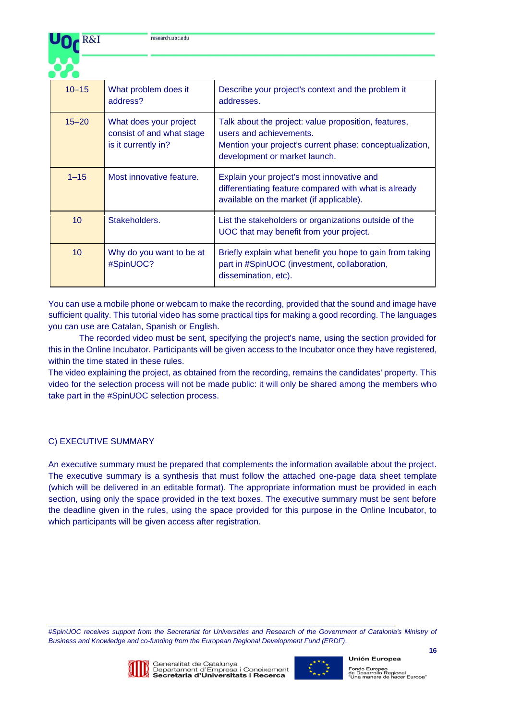

| $10 - 15$       | What problem does it<br>address?                                           | Describe your project's context and the problem it<br>addresses.                                                                                                             |
|-----------------|----------------------------------------------------------------------------|------------------------------------------------------------------------------------------------------------------------------------------------------------------------------|
| $15 - 20$       | What does your project<br>consist of and what stage<br>is it currently in? | Talk about the project: value proposition, features,<br>users and achievements.<br>Mention your project's current phase: conceptualization,<br>development or market launch. |
| $1 - 15$        | Most innovative feature.                                                   | Explain your project's most innovative and<br>differentiating feature compared with what is already<br>available on the market (if applicable).                              |
| 10 <sup>1</sup> | Stakeholders.                                                              | List the stakeholders or organizations outside of the<br>UOC that may benefit from your project.                                                                             |
| 10 <sup>°</sup> | Why do you want to be at<br>#SpinUOC?                                      | Briefly explain what benefit you hope to gain from taking<br>part in #SpinUOC (investment, collaboration,<br>dissemination, etc).                                            |

You can use a mobile phone or webcam to make the recording, provided that the sound and image have sufficient quality. This [tutorial video](https://www.youtube.com/watch?v=sXcTh6RCks8) has some practical tips for making a good recording. The languages you can use are Catalan, Spanish or English.

The recorded video must be sent, specifying the project's name, using the section provided for this in the Online Incubator. Participants will be given access to the Incubator once they have registered, within the time stated in these rules.

The video explaining the project, as obtained from the recording, remains the candidates' property. This video for the selection process will not be made public: it will only be shared among the members who take part in the #SpinUOC selection process.

# C) EXECUTIVE SUMMARY

An executive summary must be prepared that complements the information available about the project. The executive summary is a synthesis that must follow the attached one-page data sheet template (which will be delivered in an editable format). The appropriate information must be provided in each section, using only the space provided in the text boxes. The executive summary must be sent before the deadline given in the rules, using the space provided for this purpose in the Online Incubator, to which participants will be given access after registration.

#SpinUOC receives support from the Secretariat for Universities and Research of the Government of Catalonia's Ministry of *Business and Knowledge and co-funding from the European Regional Development Fund (ERDF)*.



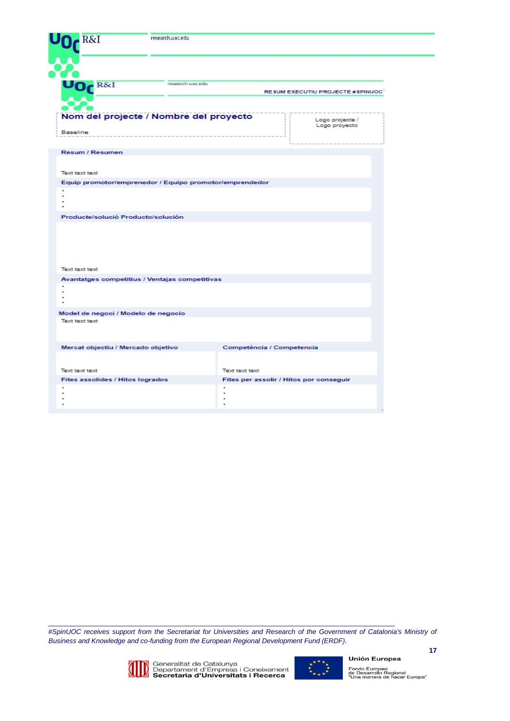| R&I                                                          | research.uoc.edu |                                         |  |
|--------------------------------------------------------------|------------------|-----------------------------------------|--|
|                                                              |                  |                                         |  |
| UO <sub>C</sub> R&I                                          | research.uoc.edu | RESUM EXECUTIU PROJECTE #SPINUOC        |  |
| Nom del projecte / Nombre del proyecto<br>Baseline           |                  | Logo projecte /<br>Logo proyecto        |  |
| <b>Resum / Resumen</b>                                       |                  |                                         |  |
| <b>Text text text</b>                                        |                  |                                         |  |
| Equip promotor/emprenedor / Equipo promotor/emprendedor<br>٠ |                  |                                         |  |
| Producte/solució Producto/solución                           |                  |                                         |  |
| <b>Text text text</b>                                        |                  |                                         |  |
| Avantatges competitius / Ventajas competitivas<br>٠          |                  |                                         |  |
| Model de negoci / Modelo de negocio                          |                  |                                         |  |
| <b>Text text text</b>                                        |                  |                                         |  |
| Mercat objectiu / Mercado objetivo                           |                  | Competència / Competencia               |  |
| <b>Text text text</b>                                        |                  | Text text text                          |  |
| Fites assolides / Hitos logrados<br>٠                        | ٠                | Fites per assolir / Hitos por conseguir |  |

*#SpinUOC receives support from the Secretariat for Universities and Research of the Government of Catalonia's Ministry of Business and Knowledge and co-funding from the European Regional Development Fund (ERDF)*.



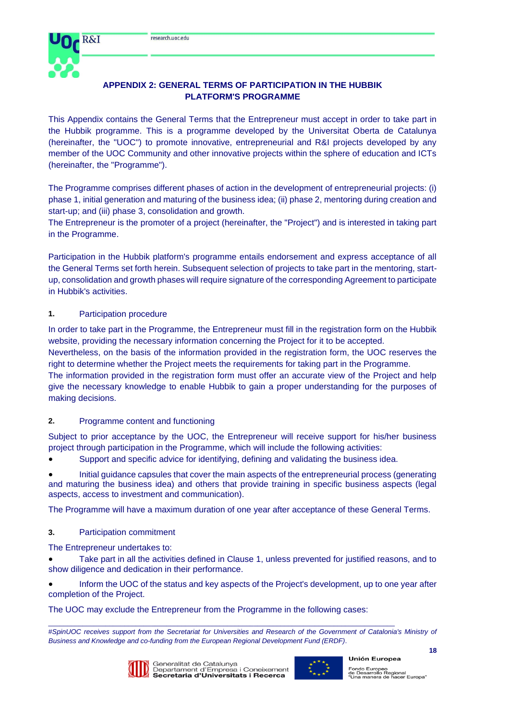

# **APPENDIX 2: GENERAL TERMS OF PARTICIPATION IN THE HUBBIK PLATFORM'S PROGRAMME**

This Appendix contains the General Terms that the Entrepreneur must accept in order to take part in the Hubbik programme. This is a programme developed by the Universitat Oberta de Catalunya (hereinafter, the "UOC") to promote innovative, entrepreneurial and R&I projects developed by any member of the UOC Community and other innovative projects within the sphere of education and ICTs (hereinafter, the "Programme").

The Programme comprises different phases of action in the development of entrepreneurial projects: (i) phase 1, initial generation and maturing of the business idea; (ii) phase 2, mentoring during creation and start-up; and (iii) phase 3, consolidation and growth.

The Entrepreneur is the promoter of a project (hereinafter, the "Project") and is interested in taking part in the Programme.

Participation in the Hubbik platform's programme entails endorsement and express acceptance of all the General Terms set forth herein. Subsequent selection of projects to take part in the mentoring, startup, consolidation and growth phases will require signature of the corresponding Agreement to participate in Hubbik's activities.

# **1.** Participation procedure

In order to take part in the Programme, the Entrepreneur must fill in the registration form on the Hubbik website, providing the necessary information concerning the Project for it to be accepted.

Nevertheless, on the basis of the information provided in the registration form, the UOC reserves the right to determine whether the Project meets the requirements for taking part in the Programme.

The information provided in the registration form must offer an accurate view of the Project and help give the necessary knowledge to enable Hubbik to gain a proper understanding for the purposes of making decisions.

# **2.** Programme content and functioning

Subject to prior acceptance by the UOC, the Entrepreneur will receive support for his/her business project through participation in the Programme, which will include the following activities:

Support and specific advice for identifying, defining and validating the business idea.

Initial guidance capsules that cover the main aspects of the entrepreneurial process (generating and maturing the business idea) and others that provide training in specific business aspects (legal aspects, access to investment and communication).

The Programme will have a maximum duration of one year after acceptance of these General Terms.

# **3.** Participation commitment

The Entrepreneur undertakes to:

Take part in all the activities defined in Clause 1, unless prevented for justified reasons, and to show diligence and dedication in their performance.

Inform the UOC of the status and key aspects of the Project's development, up to one year after completion of the Project.

The UOC may exclude the Entrepreneur from the Programme in the following cases:

#SpinUOC receives support from the Secretariat for Universities and Research of the Government of Catalonia's Ministry of *Business and Knowledge and co-funding from the European Regional Development Fund (ERDF)*.



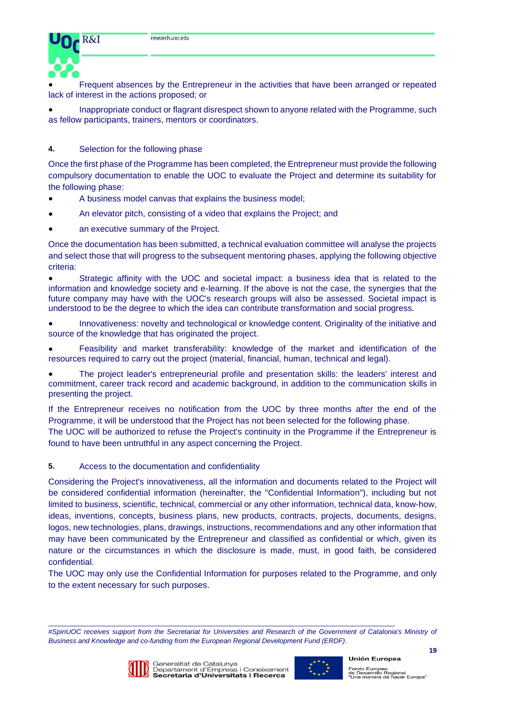

Frequent absences by the Entrepreneur in the activities that have been arranged or repeated lack of interest in the actions proposed; or

Inappropriate conduct or flagrant disrespect shown to anyone related with the Programme, such as fellow participants, trainers, mentors or coordinators.

### **4.** Selection for the following phase

Once the first phase of the Programme has been completed, the Entrepreneur must provide the following compulsory documentation to enable the UOC to evaluate the Project and determine its suitability for the following phase:

- A business model canvas that explains the business model;
- An elevator pitch, consisting of a video that explains the Project; and
- an executive summary of the Project.

Once the documentation has been submitted, a technical evaluation committee will analyse the projects and select those that will progress to the subsequent mentoring phases, applying the following objective criteria:

Strategic affinity with the UOC and societal impact: a business idea that is related to the information and knowledge society and e-learning. If the above is not the case, the synergies that the future company may have with the UOC's research groups will also be assessed. Societal impact is understood to be the degree to which the idea can contribute transformation and social progress.

● Innovativeness: novelty and technological or knowledge content. Originality of the initiative and source of the knowledge that has originated the project.

● Feasibility and market transferability: knowledge of the market and identification of the resources required to carry out the project (material, financial, human, technical and legal).

The project leader's entrepreneurial profile and presentation skills: the leaders' interest and commitment, career track record and academic background, in addition to the communication skills in presenting the project.

If the Entrepreneur receives no notification from the UOC by three months after the end of the Programme, it will be understood that the Project has not been selected for the following phase.

The UOC will be authorized to refuse the Project's continuity in the Programme if the Entrepreneur is found to have been untruthful in any aspect concerning the Project.

# **5.** Access to the documentation and confidentiality

Considering the Project's innovativeness, all the information and documents related to the Project will be considered confidential information (hereinafter, the "Confidential Information"), including but not limited to business, scientific, technical, commercial or any other information, technical data, know-how, ideas, inventions, concepts, business plans, new products, contracts, projects, documents, designs, logos, new technologies, plans, drawings, instructions, recommendations and any other information that may have been communicated by the Entrepreneur and classified as confidential or which, given its nature or the circumstances in which the disclosure is made, must, in good faith, be considered confidential.

The UOC may only use the Confidential Information for purposes related to the Programme, and only to the extent necessary for such purposes.

#SpinUOC receives support from the Secretariat for Universities and Research of the Government of Catalonia's Ministry of *Business and Knowledge and co-funding from the European Regional Development Fund (ERDF)*.



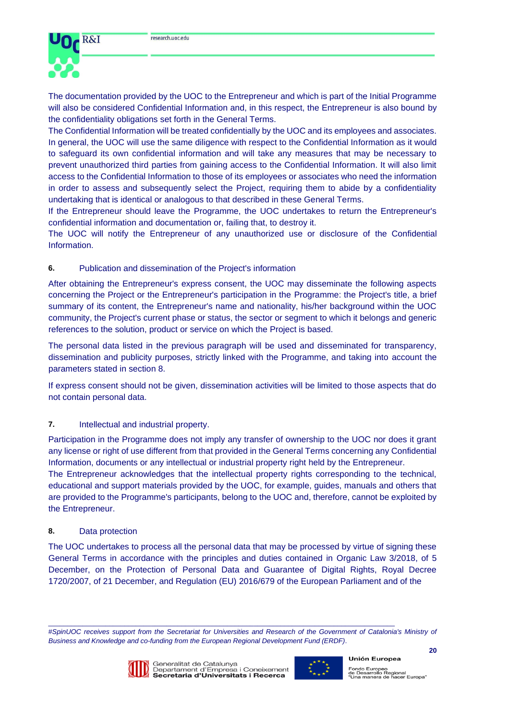



The documentation provided by the UOC to the Entrepreneur and which is part of the Initial Programme will also be considered Confidential Information and, in this respect, the Entrepreneur is also bound by the confidentiality obligations set forth in the General Terms.

The Confidential Information will be treated confidentially by the UOC and its employees and associates. In general, the UOC will use the same diligence with respect to the Confidential Information as it would to safeguard its own confidential information and will take any measures that may be necessary to prevent unauthorized third parties from gaining access to the Confidential Information. It will also limit access to the Confidential Information to those of its employees or associates who need the information in order to assess and subsequently select the Project, requiring them to abide by a confidentiality undertaking that is identical or analogous to that described in these General Terms.

If the Entrepreneur should leave the Programme, the UOC undertakes to return the Entrepreneur's confidential information and documentation or, failing that, to destroy it.

The UOC will notify the Entrepreneur of any unauthorized use or disclosure of the Confidential Information.

### **6.** Publication and dissemination of the Project's information

After obtaining the Entrepreneur's express consent, the UOC may disseminate the following aspects concerning the Project or the Entrepreneur's participation in the Programme: the Project's title, a brief summary of its content, the Entrepreneur's name and nationality, his/her background within the UOC community, the Project's current phase or status, the sector or segment to which it belongs and generic references to the solution, product or service on which the Project is based.

The personal data listed in the previous paragraph will be used and disseminated for transparency, dissemination and publicity purposes, strictly linked with the Programme, and taking into account the parameters stated in section 8.

If express consent should not be given, dissemination activities will be limited to those aspects that do not contain personal data.

# **7.** Intellectual and industrial property.

Participation in the Programme does not imply any transfer of ownership to the UOC nor does it grant any license or right of use different from that provided in the General Terms concerning any Confidential Information, documents or any intellectual or industrial property right held by the Entrepreneur. The Entrepreneur acknowledges that the intellectual property rights corresponding to the technical, educational and support materials provided by the UOC, for example, guides, manuals and others that

are provided to the Programme's participants, belong to the UOC and, therefore, cannot be exploited by the Entrepreneur.

### **8.** Data protection

The UOC undertakes to process all the personal data that may be processed by virtue of signing these General Terms in accordance with the principles and duties contained in Organic Law 3/2018, of 5 December, on the Protection of Personal Data and Guarantee of Digital Rights, Royal Decree 1720/2007, of 21 December, and Regulation (EU) 2016/679 of the European Parliament and of the

#SpinUOC receives support from the Secretariat for Universities and Research of the Government of Catalonia's Ministry of *Business and Knowledge and co-funding from the European Regional Development Fund (ERDF)*.